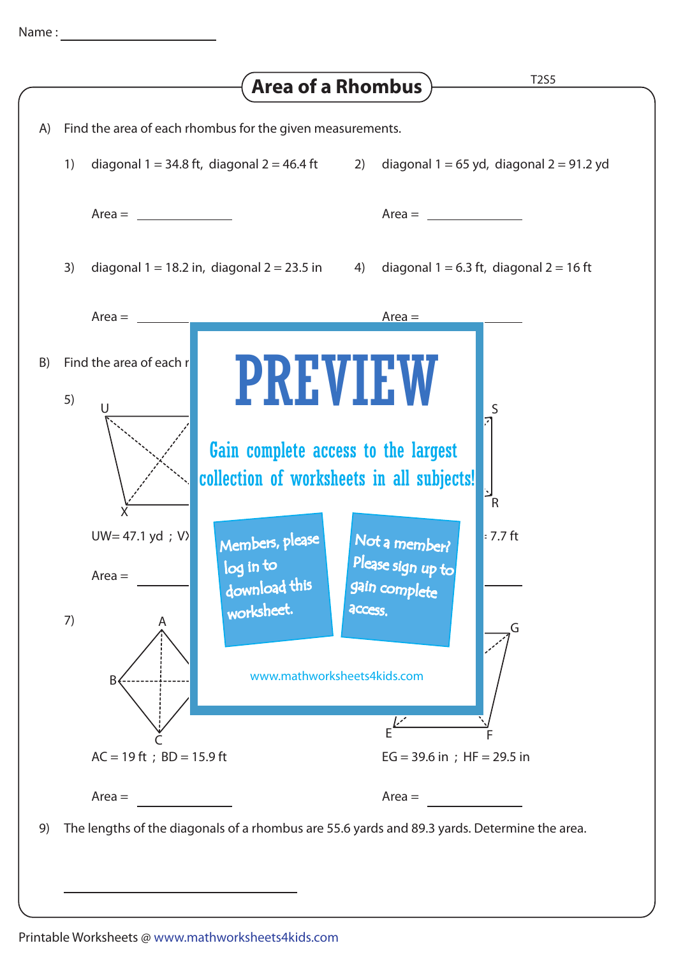